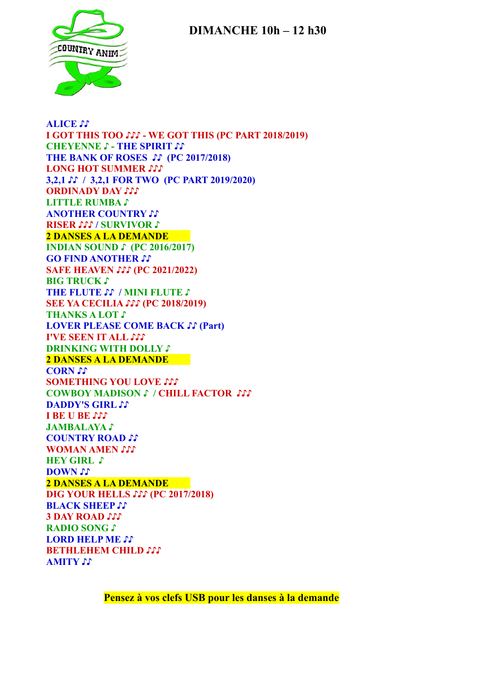## **DIMANCHE 10h – 12 h30**



**ALICE ♪♪ I GOT THIS TOO ♪♪♪ - WE GOT THIS (PC PART 2018/2019) CHEYENNE ♪ - THE SPIRIT ♪♪ THE BANK OF ROSES ♪♪ (PC 2017/2018) LONG HOT SUMMER ♪♪♪ 3,2,1 ♪♪ / 3,2,1 FOR TWO (PC PART 2019/2020) ORDINADY DAY LITTLE RUMBA ♪ ANOTHER COUNTRY ♪♪ RISER ♪♪♪ / SURVIVOR ♪ 2 DANSES A LA DEMANDE INDIAN SOUND ♪ (PC 2016/2017) GO FIND ANOTHER ♪♪ SAFE HEAVEN ♪♪♪ (PC 2021/2022) BIG TRUCK ♪ THE FLUTE ♪♪ / MINI FLUTE ♪ SEE YA CECILIA ♪♪♪ (PC 2018/2019) THANKS A LOT ♪ LOVER PLEASE COME BACK ♪♪ (Part) I'VE SEEN IT ALL ♪♪♪ DRINKING WITH DOLLY ♪ 2 DANSES A LA DEMANDE CORN ♪♪ SOMETHING YOU LOVE ♪♪♪ COWBOY MADISON ♪ / CHILL FACTOR ♪♪♪ DADDY'S GIRL ♪♪ I BE U BE ♪♪♪ JAMBALAYA ♪ COUNTRY ROAD ♪♪ WOMAN AMEN HEY GIRL ♪ DOWN ♪♪ 2 DANSES A LA DEMANDE DIG YOUR HELLS ♪♪♪ (PC 2017/2018) BLACK SHEEP ♪♪ 3 DAY ROAD ♪♪♪ RADIO SONG ♪ LORD HELP ME ♪♪ BETHLEHEM CHILD ♪♪♪ AMITY ♪♪**

**Pensez à vos clefs USB pour les danses à la demande**